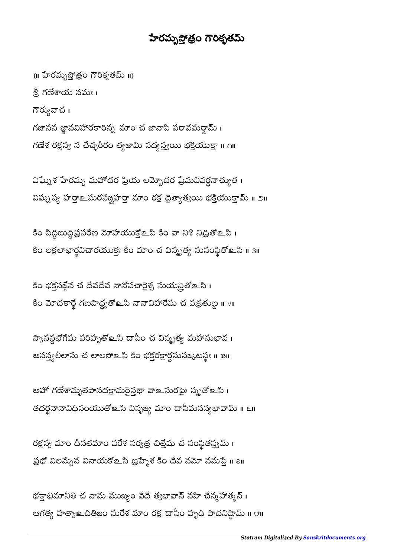## హేరమృస్తోత్రం గౌరికృతమ్

{॥ హేరమృస్తోత్రం గౌరికృతమ్ ॥} .శ్రీ, గణేశాయ నమః । గౌర్యువాచ । గజానన జ్ఞానవిహారకారిన్న మాం చ జానాసి పరావమర్షామ్ । గణేశ రక్షస్య న చేచ్ఛరీరం త్యజామి సద్యస్త్యయి భక్తియుక్తా ॥  $\alpha$ ॥

విఘ్నేశ హేరమ్బ మహోదర ప్రియ లమ్బోదర ప్రేమవివర్ధనాచ్యుత । విఘ్నస్య హర్తా మరసఙ్ఘహర్తా మాం రక్ష దైత్యాత్యయి భక్తియుక్తామ్ ॥ ౨॥

కం సిద్ధీబుద్ధిప్రసరేణ మోహయుక్తోల సీ కం వా నీశ నిద్రీతోల సీ i  $\overline{ }$ కం లక్షలాభార్థవిచారయుక్తః కిం మాం చ విస్మృత్య సుసంస్థితోలౖ.సి ॥ ౩॥

కిం భక్తసజ్లేన చ దేవదేవ నానోపచారైశ్చ సుయన్ర్తితో ఒసి । కం మోదకార్థె గణపాద్ధ్మతో ఒసి నావిహారేషు చ వక్రతుణ్ణ ॥ ४॥

న్వానన్గభోగేషు పరిహృతో ఒసి దాసీం చ విస్మృత్య మహానుభావ । ఆనన్త్యలీలాసు చ లాలసోల్ సీ కీం భక్తరక్షార్థసుసజ్కటస్థః ။ ౫॥

అహో గణేశామృతపానదక్షామరైస్తథా వాల సురపైః స్మృతో లని । తదర్థనానావిధిసంయుతోలక సిప్పజ్య మాం దాసీమనన్యభావామ్ ॥ ౬॥

రక్షస్య మాం దినతమాం పరేశ సర్వత్ర చిత్తేషు చ సంస్థితస్త్యమ్ । ప్రభో విలమ్బేన వినాయకోஉసి బ్రహ్మేశ కిం దేవ నమో నమస్తే ॥ ౭॥

భక్తాభిమానీతి చ నామ ముఖ్యం వేదే త్వభావాన్ నహి చేన్మహాత్మన్ । ఆగత్య హత్యాஉదితిజం సురేశ మాం రక్ష దాసీం హృది పాదనిష్ఠామ్ ॥ ౮॥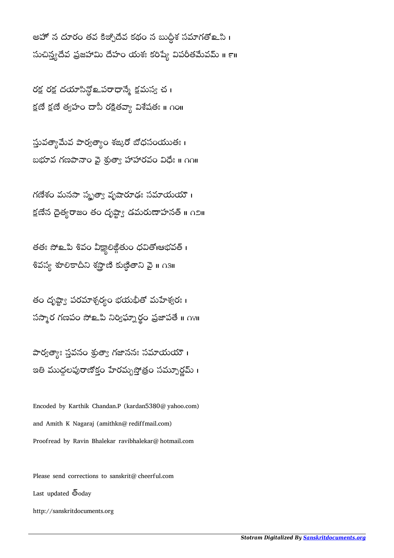అహో న దూరం తవ కిజ్చోదేవ కథం న బుద్ధిశ సమాగతోల సి । సుచిన్త్యదేవ ప్రజహామి దేహం యశః కరిష్యే విపరీతమేవమ్ ॥ ౯॥

రక్ష రక్ష దయాసిన్లో ఒపరాధాన్మే క్షమస్య చ క్షణే క్షణే త్వహం దాసీ రక్షితవ్యా విశేషతః ॥  $\mathsf{no}$ ॥

స్తువత్వామేవ పార్వత్వాం శఙ్కరో బోధసంయుతః। బభూవ గణపానా౦ వై శ్రుత్వా హాహారవ౦ విధేః ॥ ౧౧॥

గణేశం మనసా సృత్యా వృషారూఢః సమాయయౌ । క్షణేన దైత్యరాజం తం దృష్ట్యా డమరుణాహనత్ ॥ ౧౨॥

తతః సోஉపి శివం వీక్ష్యాలిఙ్గితుం ధవితో।ఆభవత్ । శివస్య శూలికాదీని శస్త్రాణి కుణ్ణితాని వై॥ ∩౩॥

తం దృష్ట్వా పరమాశ్చర్యం భయభీతో మహేశ్వరః। సస్మార గణపం సోஉపి నిర్విఘ్నార్థం ప్రజాపతే ॥ ∩೪॥

పార్వత్యాః స్తవనం శ్రుత్యా గజాననః సమాయయౌ । ఇతి ముద్దలపురాణోకం హేరమృస్తోత్రం సమ్బూర్ణమ్ ।

Encoded by Karthik Chandan.P (kardan5380@yahoo.com) and Amith K Nagaraj (amithkn@rediffmail.com) Proofread by Ravin Bhalekar ravibhalekar@hotmail.com

Please send corrections to sanskrit@cheerful.com Last updated  $\bar{6}$ oday http://sanskritdocuments.org